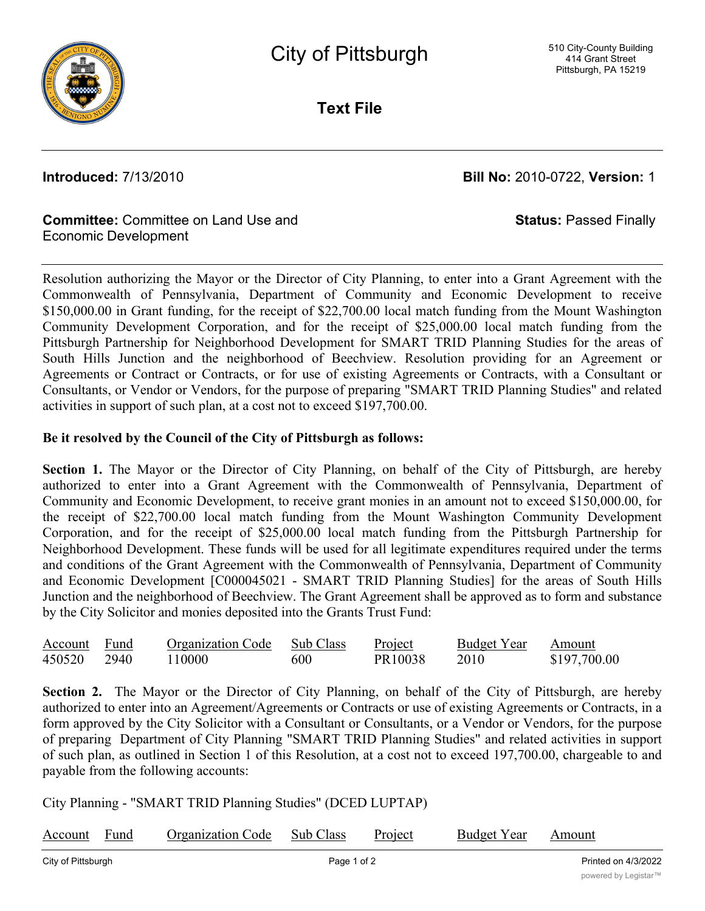

**Text File**

**Introduced:** 7/13/2010 **Bill No:** 2010-0722, **Version:** 1

**Status:** Passed Finally

## **Committee:** Committee on Land Use and Economic Development

Resolution authorizing the Mayor or the Director of City Planning, to enter into a Grant Agreement with the Commonwealth of Pennsylvania, Department of Community and Economic Development to receive \$150,000.00 in Grant funding, for the receipt of \$22,700.00 local match funding from the Mount Washington Community Development Corporation, and for the receipt of \$25,000.00 local match funding from the Pittsburgh Partnership for Neighborhood Development for SMART TRID Planning Studies for the areas of South Hills Junction and the neighborhood of Beechview. Resolution providing for an Agreement or Agreements or Contract or Contracts, or for use of existing Agreements or Contracts, with a Consultant or Consultants, or Vendor or Vendors, for the purpose of preparing "SMART TRID Planning Studies" and related activities in support of such plan, at a cost not to exceed \$197,700.00.

## **Be it resolved by the Council of the City of Pittsburgh as follows:**

**Section 1.** The Mayor or the Director of City Planning, on behalf of the City of Pittsburgh, are hereby authorized to enter into a Grant Agreement with the Commonwealth of Pennsylvania, Department of Community and Economic Development, to receive grant monies in an amount not to exceed \$150,000.00, for the receipt of \$22,700.00 local match funding from the Mount Washington Community Development Corporation, and for the receipt of \$25,000.00 local match funding from the Pittsburgh Partnership for Neighborhood Development. These funds will be used for all legitimate expenditures required under the terms and conditions of the Grant Agreement with the Commonwealth of Pennsylvania, Department of Community and Economic Development [C000045021 - SMART TRID Planning Studies] for the areas of South Hills Junction and the neighborhood of Beechview. The Grant Agreement shall be approved as to form and substance by the City Solicitor and monies deposited into the Grants Trust Fund:

| Account Fund | <b>Organization Code</b> | Sub Class | Project | <b>Budget Year</b> | Amount       |
|--------------|--------------------------|-----------|---------|--------------------|--------------|
| 450520 2940  | 110000                   | 600       | PR10038 |                    | \$197,700.00 |

**Section 2.** The Mayor or the Director of City Planning, on behalf of the City of Pittsburgh, are hereby authorized to enter into an Agreement/Agreements or Contracts or use of existing Agreements or Contracts, in a form approved by the City Solicitor with a Consultant or Consultants, or a Vendor or Vendors, for the purpose of preparing Department of City Planning "SMART TRID Planning Studies" and related activities in support of such plan, as outlined in Section 1 of this Resolution, at a cost not to exceed 197,700.00, chargeable to and payable from the following accounts:

City Planning - "SMART TRID Planning Studies" (DCED LUPTAP)

| Account            | Fund | <b>Organization Code</b> | Sub Class | Project | <b>Budget Year</b>  | Amount |  |
|--------------------|------|--------------------------|-----------|---------|---------------------|--------|--|
| City of Pittsburgh |      | Page 1 of 2              |           |         | Printed on 4/3/2022 |        |  |